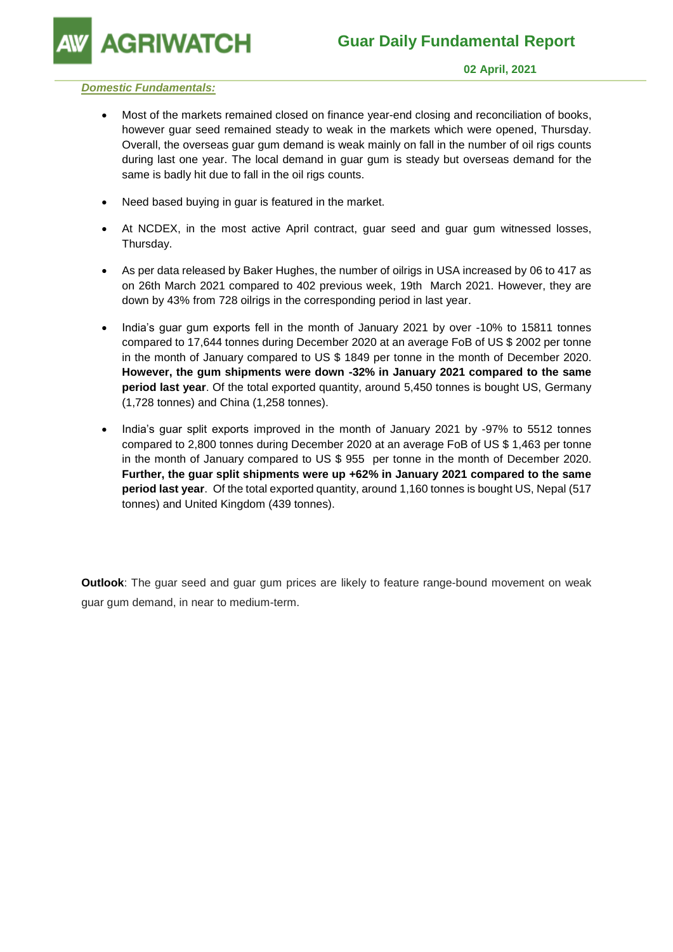**GRIWATCH** 

### *Domestic Fundamentals:*

- Most of the markets remained closed on finance year-end closing and reconciliation of books, however guar seed remained steady to weak in the markets which were opened, Thursday. Overall, the overseas guar gum demand is weak mainly on fall in the number of oil rigs counts during last one year. The local demand in guar gum is steady but overseas demand for the same is badly hit due to fall in the oil rigs counts.
- Need based buying in guar is featured in the market.
- At NCDEX, in the most active April contract, guar seed and guar gum witnessed losses, Thursday.
- As per data released by Baker Hughes, the number of oilrigs in USA increased by 06 to 417 as on 26th March 2021 compared to 402 previous week, 19th March 2021. However, they are down by 43% from 728 oilrigs in the corresponding period in last year.
- India's guar gum exports fell in the month of January 2021 by over -10% to 15811 tonnes compared to 17,644 tonnes during December 2020 at an average FoB of US \$ 2002 per tonne in the month of January compared to US \$ 1849 per tonne in the month of December 2020. **However, the gum shipments were down -32% in January 2021 compared to the same period last year**. Of the total exported quantity, around 5,450 tonnes is bought US, Germany (1,728 tonnes) and China (1,258 tonnes).
- India's guar split exports improved in the month of January 2021 by -97% to 5512 tonnes compared to 2,800 tonnes during December 2020 at an average FoB of US \$ 1,463 per tonne in the month of January compared to US \$ 955 per tonne in the month of December 2020. **Further, the guar split shipments were up +62% in January 2021 compared to the same period last year**. Of the total exported quantity, around 1,160 tonnes is bought US, Nepal (517 tonnes) and United Kingdom (439 tonnes).

**Outlook**: The guar seed and guar gum prices are likely to feature range-bound movement on weak guar gum demand, in near to medium-term.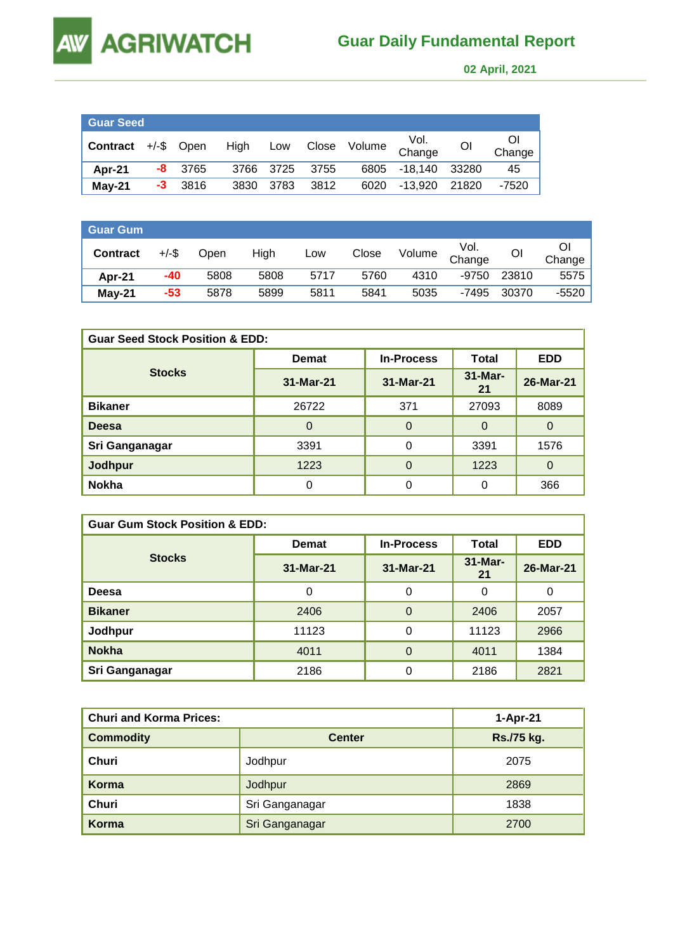

 **02 April, 2021** 

| <b>Guar Seed</b>    |    |           |      |           |      |              |                |    |              |
|---------------------|----|-----------|------|-----------|------|--------------|----------------|----|--------------|
| Contract +/-\$ Open |    |           | High | Low       |      | Close Volume | Vol.<br>Change | Οl | Οl<br>Change |
| Apr-21              |    | $-8$ 3765 |      | 3766 3725 | 3755 | 6805         | -18.140 33280  |    | 45           |
| $May-21$            | -3 | - 3816    | 3830 | 3783      | 3812 | 6020         | -13.920 21820  |    | $-7520$      |

| ∣ Guar Gum <sup>⊣</sup> |          |      |      |      |       |        |                |       |         |
|-------------------------|----------|------|------|------|-------|--------|----------------|-------|---------|
| <b>Contract</b>         | $+/-$ \$ | Open | High | Low  | Close | Volume | Vol.<br>Change | OI    | Change  |
| Apr-21                  | -40      | 5808 | 5808 | 5717 | 5760  | 4310   | -9750          | 23810 | 5575    |
| <b>May-21</b>           | $-53$    | 5878 | 5899 | 5811 | 5841  | 5035   | -7495          | 30370 | $-5520$ |

| <b>Guar Seed Stock Position &amp; EDD:</b> |                                   |           |                   |                |  |  |  |
|--------------------------------------------|-----------------------------------|-----------|-------------------|----------------|--|--|--|
|                                            | <b>In-Process</b><br><b>Demat</b> |           | Total             | <b>EDD</b>     |  |  |  |
| <b>Stocks</b>                              | 31-Mar-21                         | 31-Mar-21 | $31 -$ Mar-<br>21 | 26-Mar-21      |  |  |  |
| <b>Bikaner</b>                             | 26722                             | 371       | 27093             | 8089           |  |  |  |
| <b>Deesa</b>                               | $\Omega$                          | $\Omega$  | $\Omega$          | $\Omega$       |  |  |  |
| Sri Ganganagar                             | 3391                              | 0         | 3391              | 1576           |  |  |  |
| Jodhpur                                    | 1223                              | $\Omega$  | 1223              | $\overline{0}$ |  |  |  |
| <b>Nokha</b>                               | 0                                 | 0         | 0                 | 366            |  |  |  |

| <b>Guar Gum Stock Position &amp; EDD:</b> |              |                   |                 |            |  |  |  |
|-------------------------------------------|--------------|-------------------|-----------------|------------|--|--|--|
|                                           | <b>Demat</b> | <b>In-Process</b> | Total           | <b>EDD</b> |  |  |  |
| <b>Stocks</b>                             | 31-Mar-21    | 31-Mar-21         | $31-Mar-$<br>21 | 26-Mar-21  |  |  |  |
| <b>Deesa</b>                              | 0            | $\Omega$          | 0               | 0          |  |  |  |
| <b>Bikaner</b>                            | 2406         | $\Omega$          | 2406            | 2057       |  |  |  |
| Jodhpur                                   | 11123        | 0                 | 11123           | 2966       |  |  |  |
| <b>Nokha</b>                              | 4011         | $\Omega$          | 4011            | 1384       |  |  |  |
| Sri Ganganagar                            | 2186         | 0                 | 2186            | 2821       |  |  |  |

| <b>Churi and Korma Prices:</b> | 1-Apr-21       |            |
|--------------------------------|----------------|------------|
| <b>Commodity</b>               | <b>Center</b>  | Rs./75 kg. |
| Churi                          | Jodhpur        | 2075       |
| Korma                          | Jodhpur        | 2869       |
| Churi                          | Sri Ganganagar | 1838       |
| Korma                          | Sri Ganganagar | 2700       |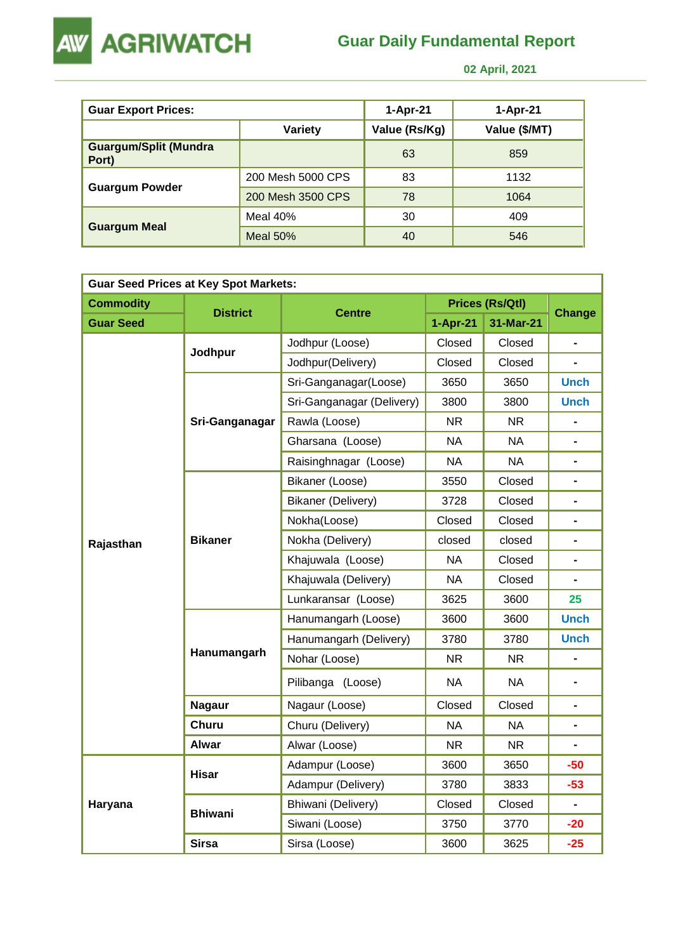

## **Guar Daily Fundamental Report**

 **02 April, 2021** 

| <b>Guar Export Prices:</b>            |                   | 1-Apr-21      | 1-Apr-21      |
|---------------------------------------|-------------------|---------------|---------------|
|                                       | <b>Variety</b>    | Value (Rs/Kg) | Value (\$/MT) |
| <b>Guargum/Split (Mundra</b><br>Port) |                   | 63            | 859           |
|                                       | 200 Mesh 5000 CPS | 83            | 1132          |
| <b>Guargum Powder</b>                 | 200 Mesh 3500 CPS | 78            | 1064          |
|                                       | Meal $40%$        | 30            | 409           |
| <b>Guargum Meal</b>                   | Meal $50%$        | 40            | 546           |

| <b>Guar Seed Prices at Key Spot Markets:</b> |                 |                           |            |                        |                |  |  |  |
|----------------------------------------------|-----------------|---------------------------|------------|------------------------|----------------|--|--|--|
| <b>Commodity</b>                             |                 |                           |            | <b>Prices (Rs/Qtl)</b> | <b>Change</b>  |  |  |  |
| <b>Guar Seed</b>                             | <b>District</b> | <b>Centre</b>             | $1-Apr-21$ | 31-Mar-21              |                |  |  |  |
|                                              | Jodhpur         | Jodhpur (Loose)           | Closed     | Closed                 |                |  |  |  |
|                                              |                 | Jodhpur(Delivery)         | Closed     | Closed                 | $\blacksquare$ |  |  |  |
|                                              |                 | Sri-Ganganagar(Loose)     | 3650       | 3650                   | <b>Unch</b>    |  |  |  |
|                                              |                 | Sri-Ganganagar (Delivery) | 3800       | 3800                   | <b>Unch</b>    |  |  |  |
|                                              | Sri-Ganganagar  | Rawla (Loose)             | NR.        | NR.                    |                |  |  |  |
|                                              |                 | Gharsana (Loose)          | <b>NA</b>  | <b>NA</b>              | $\blacksquare$ |  |  |  |
|                                              |                 | Raisinghnagar (Loose)     | <b>NA</b>  | <b>NA</b>              | $\blacksquare$ |  |  |  |
|                                              |                 | Bikaner (Loose)           | 3550       | Closed                 |                |  |  |  |
|                                              | <b>Bikaner</b>  | <b>Bikaner (Delivery)</b> | 3728       | Closed                 | $\blacksquare$ |  |  |  |
|                                              |                 | Nokha(Loose)              | Closed     | Closed                 |                |  |  |  |
| Rajasthan                                    |                 | Nokha (Delivery)          | closed     | closed                 | $\blacksquare$ |  |  |  |
|                                              |                 | Khajuwala (Loose)         | <b>NA</b>  | Closed                 | $\blacksquare$ |  |  |  |
|                                              |                 | Khajuwala (Delivery)      | <b>NA</b>  | Closed                 |                |  |  |  |
|                                              |                 | Lunkaransar (Loose)       | 3625       | 3600                   | 25             |  |  |  |
|                                              |                 | Hanumangarh (Loose)       | 3600       | 3600                   | <b>Unch</b>    |  |  |  |
|                                              |                 | Hanumangarh (Delivery)    | 3780       | 3780                   | <b>Unch</b>    |  |  |  |
|                                              | Hanumangarh     | Nohar (Loose)             | <b>NR</b>  | <b>NR</b>              |                |  |  |  |
|                                              |                 | Pilibanga (Loose)         | <b>NA</b>  | <b>NA</b>              |                |  |  |  |
|                                              | <b>Nagaur</b>   | Nagaur (Loose)            | Closed     | Closed                 |                |  |  |  |
|                                              | <b>Churu</b>    | Churu (Delivery)          | <b>NA</b>  | <b>NA</b>              | $\blacksquare$ |  |  |  |
|                                              | <b>Alwar</b>    | Alwar (Loose)             | <b>NR</b>  | <b>NR</b>              |                |  |  |  |
|                                              | <b>Hisar</b>    | Adampur (Loose)           | 3600       | 3650                   | $-50$          |  |  |  |
|                                              |                 | Adampur (Delivery)        | 3780       | 3833                   | $-53$          |  |  |  |
| Haryana                                      | <b>Bhiwani</b>  | Bhiwani (Delivery)        | Closed     | Closed                 | $\blacksquare$ |  |  |  |
|                                              |                 | Siwani (Loose)            | 3750       | 3770                   | $-20$          |  |  |  |
|                                              | <b>Sirsa</b>    | Sirsa (Loose)             | 3600       | 3625                   | $-25$          |  |  |  |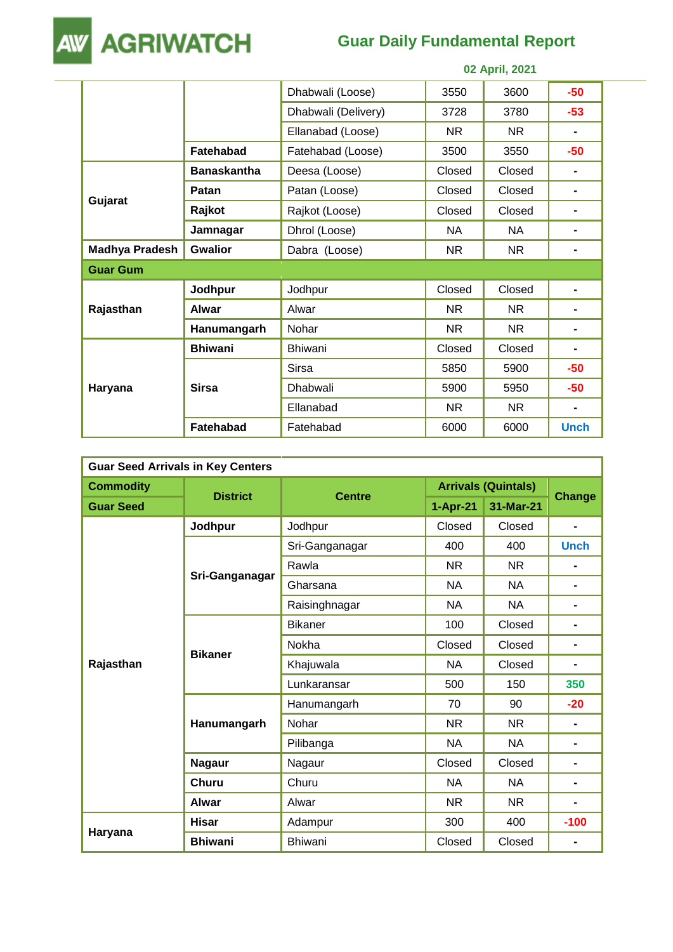

# **Guar Daily Fundamental Report**

|                       |                    |                     |           | <u>UZ APIII, ZUZ I</u> |                |
|-----------------------|--------------------|---------------------|-----------|------------------------|----------------|
|                       |                    | Dhabwali (Loose)    | 3550      | 3600                   | $-50$          |
|                       |                    | Dhabwali (Delivery) | 3728      | 3780                   | $-53$          |
|                       |                    | Ellanabad (Loose)   | NR.       | NR.                    |                |
|                       | Fatehabad          | Fatehabad (Loose)   | 3500      | 3550                   | $-50$          |
|                       | <b>Banaskantha</b> | Deesa (Loose)       | Closed    | Closed                 | $\blacksquare$ |
|                       | <b>Patan</b>       | Patan (Loose)       | Closed    | Closed                 | $\blacksquare$ |
| Gujarat               | Rajkot             | Rajkot (Loose)      | Closed    | Closed                 | $\blacksquare$ |
|                       | Jamnagar           | Dhrol (Loose)       | NA.       | NA.                    | $\blacksquare$ |
| <b>Madhya Pradesh</b> | <b>Gwalior</b>     | Dabra (Loose)       | NR.       | NR.                    | $\blacksquare$ |
| <b>Guar Gum</b>       |                    |                     |           |                        |                |
|                       | Jodhpur            | Jodhpur             | Closed    | Closed                 |                |
| Rajasthan             | <b>Alwar</b>       | Alwar               | NR.       | NR.                    |                |
|                       | Hanumangarh        | Nohar               | NR.       | NR.                    |                |
|                       | <b>Bhiwani</b>     | Bhiwani             | Closed    | Closed                 |                |
| Haryana               |                    | Sirsa               | 5850      | 5900                   | $-50$          |
|                       | <b>Sirsa</b>       | Dhabwali            | 5900      | 5950                   | $-50$          |
|                       |                    | Ellanabad           | <b>NR</b> | <b>NR</b>              |                |
|                       | <b>Fatehabad</b>   | Fatehabad           | 6000      | 6000                   | <b>Unch</b>    |

| <b>Guar Seed Arrivals in Key Centers</b> |                 |                |                            |           |                |  |  |
|------------------------------------------|-----------------|----------------|----------------------------|-----------|----------------|--|--|
| <b>Commodity</b>                         |                 |                | <b>Arrivals (Quintals)</b> |           |                |  |  |
| <b>Guar Seed</b>                         | <b>District</b> | <b>Centre</b>  | $1-Apr-21$                 | 31-Mar-21 | <b>Change</b>  |  |  |
|                                          | Jodhpur         | Jodhpur        | Closed                     | Closed    | $\blacksquare$ |  |  |
|                                          |                 | Sri-Ganganagar | 400                        | 400       | <b>Unch</b>    |  |  |
|                                          |                 | Rawla          | <b>NR</b>                  | <b>NR</b> |                |  |  |
|                                          | Sri-Ganganagar  | Gharsana       | <b>NA</b>                  | <b>NA</b> | $\blacksquare$ |  |  |
|                                          |                 | Raisinghnagar  | <b>NA</b>                  | <b>NA</b> | $\blacksquare$ |  |  |
|                                          | <b>Bikaner</b>  | <b>Bikaner</b> | 100                        | Closed    | $\blacksquare$ |  |  |
|                                          |                 | Nokha          | Closed                     | Closed    | $\blacksquare$ |  |  |
| Rajasthan                                |                 | Khajuwala      | <b>NA</b>                  | Closed    | $\blacksquare$ |  |  |
|                                          |                 | Lunkaransar    | 500                        | 150       | 350            |  |  |
|                                          | Hanumangarh     | Hanumangarh    | 70                         | 90        | $-20$          |  |  |
|                                          |                 | Nohar          | <b>NR</b>                  | <b>NR</b> | $\blacksquare$ |  |  |
|                                          |                 | Pilibanga      | <b>NA</b>                  | <b>NA</b> | $\blacksquare$ |  |  |
|                                          | <b>Nagaur</b>   | Nagaur         | Closed                     | Closed    | $\blacksquare$ |  |  |
|                                          | <b>Churu</b>    | Churu          | <b>NA</b>                  | <b>NA</b> | $\blacksquare$ |  |  |
|                                          | <b>Alwar</b>    | Alwar          | <b>NR</b>                  | <b>NR</b> | $\blacksquare$ |  |  |
|                                          | <b>Hisar</b>    | Adampur        | 300                        | 400       | $-100$         |  |  |
| Haryana                                  | <b>Bhiwani</b>  | <b>Bhiwani</b> | Closed                     | Closed    |                |  |  |

 **02 April, 2021**